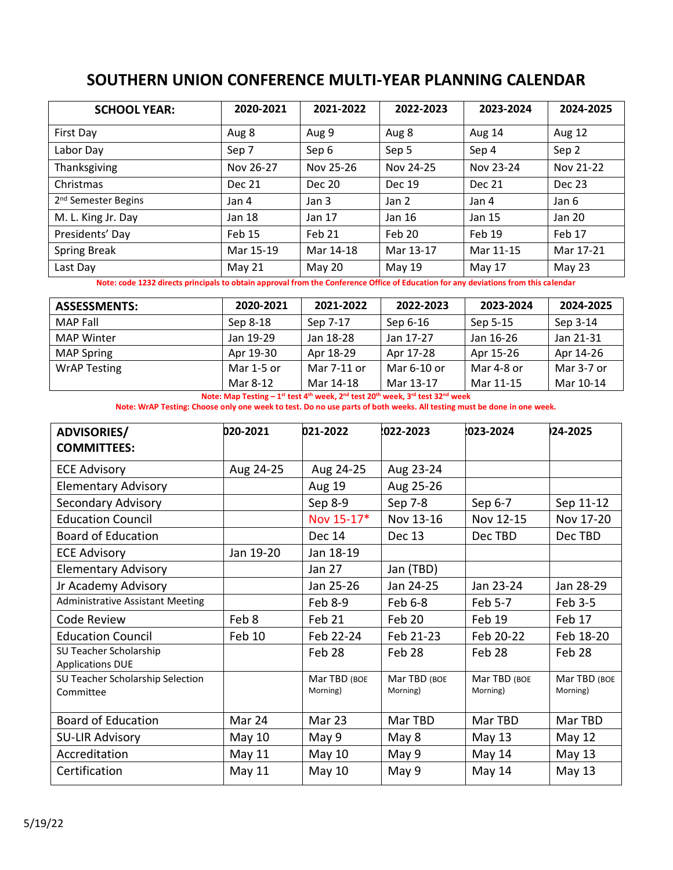## **SOUTHERN UNION CONFERENCE MULTI-YEAR PLANNING CALENDAR**

| <b>SCHOOL YEAR:</b>             | 2020-2021 | 2021-2022 | 2022-2023 | 2023-2024     | 2024-2025 |
|---------------------------------|-----------|-----------|-----------|---------------|-----------|
| First Day                       | Aug 8     | Aug 9     | Aug 8     | Aug 14        | Aug 12    |
| Labor Day                       | Sep 7     | Sep 6     | Sep 5     | Sep 4         | Sep 2     |
| Thanksgiving                    | Nov 26-27 | Nov 25-26 | Nov 24-25 | Nov 23-24     | Nov 21-22 |
| Christmas                       | Dec 21    | Dec 20    | Dec 19    | <b>Dec 21</b> | Dec 23    |
| 2 <sup>nd</sup> Semester Begins | Jan 4     | Jan 3     | Jan 2     | Jan 4         | Jan 6     |
| M. L. King Jr. Day              | Jan 18    | Jan 17    | Jan 16    | Jan 15        | Jan 20    |
| Presidents' Day                 | Feb 15    | Feb 21    | Feb 20    | Feb 19        | Feb 17    |
| <b>Spring Break</b>             | Mar 15-19 | Mar 14-18 | Mar 13-17 | Mar 11-15     | Mar 17-21 |
| Last Day                        | May 21    | May 20    | May 19    | May 17        | May 23    |

**Note: code 1232 directs principals to obtain approval from the Conference Office of Education for any deviations from this calendar**

| <b>ASSESSMENTS:</b> | 2020-2021  | 2021-2022   | 2022-2023   | 2023-2024  | 2024-2025  |
|---------------------|------------|-------------|-------------|------------|------------|
| MAP Fall            | Sep 8-18   | Sep 7-17    | Sep 6-16    | Sep 5-15   | Sep 3-14   |
| <b>MAP Winter</b>   | Jan 19-29  | Jan 18-28   | Jan 17-27   | Jan 16-26  | Jan 21-31  |
| <b>MAP Spring</b>   | Apr 19-30  | Apr 18-29   | Apr 17-28   | Apr 15-26  | Apr 14-26  |
| <b>WrAP Testing</b> | Mar 1-5 or | Mar 7-11 or | Mar 6-10 or | Mar 4-8 or | Mar 3-7 or |
|                     | Mar 8-12   | Mar 14-18   | Mar 13-17   | Mar 11-15  | Mar 10-14  |

**Note: Map Testing – 1 st test 4th week, 2nd test 20th week, 3rd test 32nd week**

**Note: WrAP Testing: Choose only one week to test. Do no use parts of both weeks. All testing must be done in one week.**

| <b>ADVISORIES/</b>                                | 020-2021  | 021-2022                 | 022-2023                 | 1023-2024                | 24-2025                  |
|---------------------------------------------------|-----------|--------------------------|--------------------------|--------------------------|--------------------------|
| <b>COMMITTEES:</b>                                |           |                          |                          |                          |                          |
| <b>ECE Advisory</b>                               | Aug 24-25 | Aug 24-25                | Aug 23-24                |                          |                          |
| <b>Elementary Advisory</b>                        |           | Aug 19                   | Aug 25-26                |                          |                          |
| Secondary Advisory                                |           | Sep 8-9                  | Sep 7-8                  | Sep 6-7                  | Sep 11-12                |
| <b>Education Council</b>                          |           | Nov 15-17*               | Nov 13-16                | Nov 12-15                | Nov 17-20                |
| <b>Board of Education</b>                         |           | Dec 14                   | Dec 13                   | Dec TBD                  | Dec TBD                  |
| <b>ECE Advisory</b>                               | Jan 19-20 | Jan 18-19                |                          |                          |                          |
| <b>Elementary Advisory</b>                        |           | <b>Jan 27</b>            | Jan (TBD)                |                          |                          |
| Jr Academy Advisory                               |           | Jan 25-26                | Jan 24-25                | Jan 23-24                | Jan 28-29                |
| <b>Administrative Assistant Meeting</b>           |           | Feb 8-9                  | Feb 6-8                  | Feb 5-7                  | Feb 3-5                  |
| Code Review                                       | Feb 8     | Feb 21                   | Feb 20                   | Feb 19                   | Feb 17                   |
| <b>Education Council</b>                          | Feb 10    | Feb 22-24                | Feb 21-23                | Feb 20-22                | Feb 18-20                |
| SU Teacher Scholarship<br><b>Applications DUE</b> |           | Feb 28                   | Feb 28                   | Feb 28                   | Feb 28                   |
| SU Teacher Scholarship Selection<br>Committee     |           | Mar TBD (BOE<br>Morning) | Mar TBD (BOE<br>Morning) | Mar TBD (BOE<br>Morning) | Mar TBD (BOE<br>Morning) |
| <b>Board of Education</b>                         | Mar 24    | Mar 23                   | Mar TBD                  | Mar TBD                  | Mar TBD                  |
| <b>SU-LIR Advisory</b>                            | May 10    | May 9                    | May 8                    | May 13                   | May 12                   |
| Accreditation                                     | May 11    | May $10$                 | May 9                    | May 14                   | May 13                   |
| Certification                                     | May 11    | <b>May 10</b>            | May 9                    | May 14                   | <b>May 13</b>            |